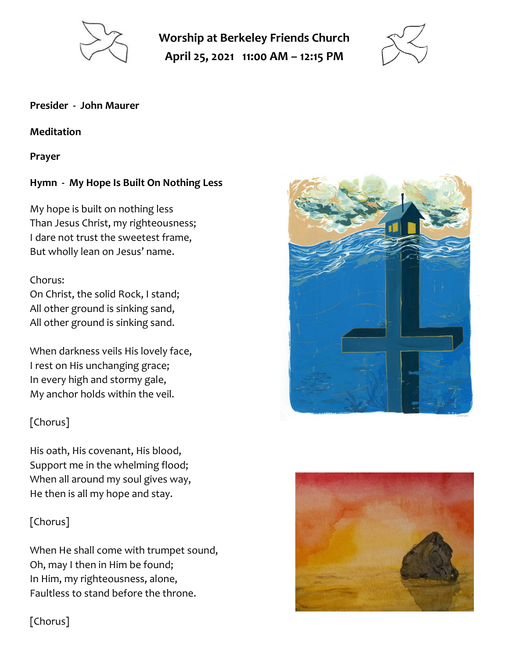

**Worship at Berkeley Friends Church April 25, 2021 11:00 AM – 12:15 PM**



#### **Presider - John Maurer**

#### **Meditation**

**Prayer**

# **Hymn - My Hope Is Built On Nothing Less**

My hope is built on nothing less Than Jesus Christ, my righteousness; I dare not trust the sweetest frame, But wholly lean on Jesus' name.

## Chorus:

On Christ, the solid Rock, I stand; All other ground is sinking sand, All other ground is sinking sand.

When darkness veils His lovely face, I rest on His unchanging grace; In every high and stormy gale, My anchor holds within the veil.

# [Chorus]

His oath, His covenant, His blood, Support me in the whelming flood; When all around my soul gives way, He then is all my hope and stay.

# [Chorus]

When He shall come with trumpet sound, Oh, may I then in Him be found; In Him, my righteousness, alone, Faultless to stand before the throne.





[Chorus]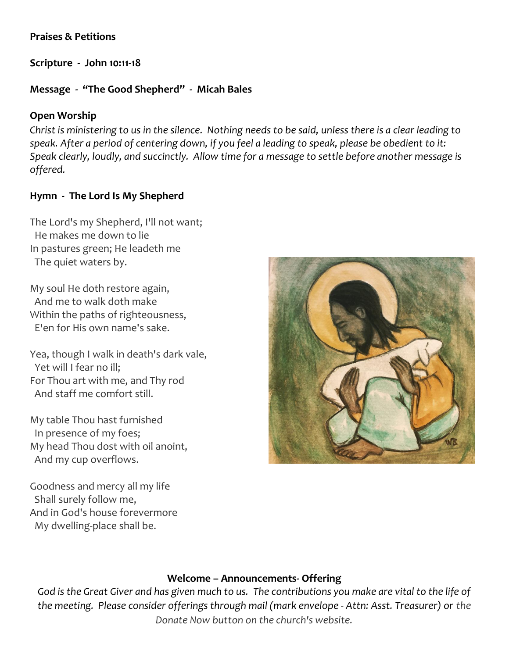## **Praises & Petitions**

**Scripture - John 10:11-18**

## **Message - "The Good Shepherd" - Micah Bales**

## **Open Worship**

*Christ is ministering to us in the silence. Nothing needs to be said, unless there is a clear leading to speak. After a period of centering down, if you feel a leading to speak, please be obedient to it: Speak clearly, loudly, and succinctly. Allow time for a message to settle before another message is offered.*

## **Hymn - The Lord Is My Shepherd**

The Lord's my Shepherd, I'll not want; He makes me down to lie In pastures green; He leadeth me The quiet waters by.

My soul He doth restore again, And me to walk doth make Within the paths of righteousness, E'en for His own name's sake.

Yea, though I walk in death's dark vale, Yet will I fear no ill; For Thou art with me, and Thy rod And staff me comfort still.

My table Thou hast furnished In presence of my foes; My head Thou dost with oil anoint, And my cup overflows.

Goodness and mercy all my life Shall surely follow me, And in God's house forevermore My dwelling-place shall be.



## **Welcome – Announcements- Offering**

*God is the Great Giver and has given much to us. The contributions you make are vital to the life of the meeting. Please consider offerings through mail (mark envelope - Attn: Asst. Treasurer) or the Donate Now button on the church's website.*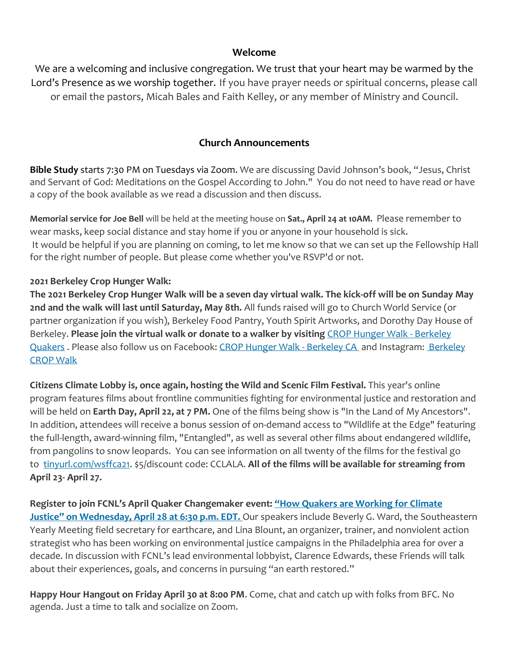#### **Welcome**

We are a welcoming and inclusive congregation. We trust that your heart may be warmed by the Lord's Presence as we worship together. If you have prayer needs or spiritual concerns, please call or email the pastors, Micah Bales and Faith Kelley, or any member of Ministry and Council.

#### **Church Announcements**

**Bible Study** starts 7:30 PM on Tuesdays via Zoom. We are discussing David Johnson's book, "Jesus, Christ and Servant of God: Meditations on the Gospel According to John." You do not need to have read or have a copy of the book available as we read a discussion and then discuss.

**Memorial service for Joe Bell** will be held at the meeting house on **Sat., April 24 at 10AM.** Please remember to wear masks, keep social distance and stay home if you or anyone in your household is sick. It would be helpful if you are planning on coming, to let me know so that we can set up the Fellowship Hall for the right number of people. But please come whether you've RSVP'd or not.

#### **2021 Berkeley Crop Hunger Walk:**

**The 2021 Berkeley Crop Hunger Walk will be a seven day virtual walk. The kick-off will be on Sunday May 2nd and the walk will last until Saturday, May 8th.** All funds raised will go to Church World Service (or partner organization if you wish), Berkeley Food Pantry, Youth Spirit Artworks, and Dorothy Day House of Berkeley. **Please join the virtual walk or donate to a walker by visiting** [CROP Hunger Walk -](https://events.crophungerwalk.org/2021/team/berkeley-quakers) Berkeley [Quakers](https://events.crophungerwalk.org/2021/team/berkeley-quakers) . Please also follow us on Facebook: [CROP Hunger Walk -](https://www.facebook.com/CROP-Hunger-Walk-Berkeley-California-724937120919942) [Berkeley](https://www.instagram.com/berkeleycropwalk/?hl=en) CA and Instagram: Berkeley [CROP Walk](https://www.instagram.com/berkeleycropwalk/?hl=en)

**Citizens Climate Lobby is, once again, hosting the Wild and Scenic Film Festival.** This year's online program features films about frontline communities fighting for environmental justice and restoration and will be held on **Earth Day, April 22, at 7 PM.** One of the films being show is "In the Land of My Ancestors". In addition, attendees will receive a bonus session of on-demand access to "Wildlife at the Edge" featuring the full-length, award-winning film, "Entangled", as well as several other films about endangered wildlife, from pangolins to snow leopards. You can see information on all twenty of the films for the festival go to [tinyurl.com/wsffca21.](http://tinyurl.com/wsffca21) \$5/discount code: CCLALA. **All of the films will be available for streaming from April 23- April 27.**

**Register to join FCNL's April Quaker Changemaker event: ["How Quakers are Working for Climate](https://act.fcnl.org/go/111060?t=16&utm_campaign=event&utm_source=ak&utm_medium=email&utm_term=16660.153664.6U3Huz&akid=16660%2E153664%2E6U3Huz)  [Justice" on Wednesday, April 28 at 6:30 p.m. EDT.](https://act.fcnl.org/go/111060?t=16&utm_campaign=event&utm_source=ak&utm_medium=email&utm_term=16660.153664.6U3Huz&akid=16660%2E153664%2E6U3Huz)** Our speakers include Beverly G. Ward, the Southeastern Yearly Meeting field secretary for earthcare, and Lina Blount, an organizer, trainer, and nonviolent action strategist who has been working on environmental justice campaigns in the Philadelphia area for over a decade. In discussion with FCNL's lead environmental lobbyist, Clarence Edwards, these Friends will talk about their experiences, goals, and concerns in pursuing "an earth restored."

**Happy Hour Hangout on Friday April 30 at 8:00 PM**. Come, chat and catch up with folks from BFC. No agenda. Just a time to talk and socialize on Zoom.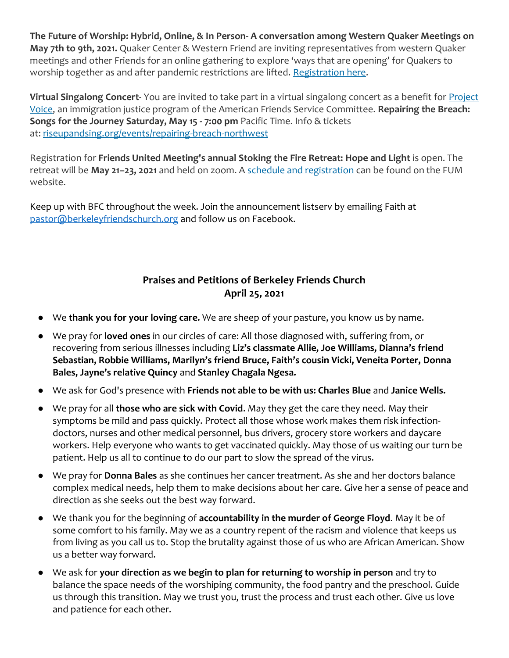**The Future of Worship: Hybrid, Online, & In Person- A conversation among Western Quaker Meetings on May 7th to 9th, 2021.** Quaker Center & Western Friend are inviting representatives from western Quaker meetings and other Friends for an online gathering to explore 'ways that are opening' for Quakers to worship together as and after pandemic restrictions are lifted. [Registration here.](https://www.futureofworship.org/)

**Virtual Singalong Concert**- You are invited to take part in a virtual singalong concert as a benefit for [Project](https://scymf.us15.list-manage.com/track/click?u=b3919ba778f46050fb765c146&id=b863fc3b05&e=445a862d65)  [Voice,](https://scymf.us15.list-manage.com/track/click?u=b3919ba778f46050fb765c146&id=b863fc3b05&e=445a862d65) an immigration justice program of the American Friends Service Committee. **Repairing the Breach: Songs for the Journey Saturday, May 15 - 7:00 pm** Pacific Time. Info & tickets at: [riseupandsing.org/events/repairing-breach-northwest](https://scymf.us15.list-manage.com/track/click?u=b3919ba778f46050fb765c146&id=aac01691a6&e=445a862d65)

Registration for **Friends United Meeting's annual Stoking the Fire Retreat: Hope and Light** is open. The retreat will be **May 21–23, 2021** and held on zoom. A [schedule and registration](https://www.friendsunitedmeeting.org/connect/stoking-the-fire) can be found on the FUM website.

Keep up with BFC throughout the week. Join the announcement listserv by emailing Faith at [pastor@berkeleyfriendschurch.org](mailto:pastor@berkeleyfriendschurch.org) and follow us on Facebook.

# **Praises and Petitions of Berkeley Friends Church April 25, 2021**

- We **thank you for your loving care.** We are sheep of your pasture, you know us by name.
- We pray for **loved ones** in our circles of care: All those diagnosed with, suffering from, or recovering from serious illnesses including **Liz's classmate Allie, Joe Williams, Dianna's friend Sebastian, Robbie Williams, Marilyn's friend Bruce, Faith's cousin Vicki, Veneita Porter, Donna Bales, Jayne's relative Quincy** and **Stanley Chagala Ngesa.**
- We ask for God's presence with **Friends not able to be with us: Charles Blue** and **Janice Wells.**
- We pray for all **those who are sick with Covid**. May they get the care they need. May their symptoms be mild and pass quickly. Protect all those whose work makes them risk infectiondoctors, nurses and other medical personnel, bus drivers, grocery store workers and daycare workers. Help everyone who wants to get vaccinated quickly. May those of us waiting our turn be patient. Help us all to continue to do our part to slow the spread of the virus.
- We pray for **Donna Bales** as she continues her cancer treatment. As she and her doctors balance complex medical needs, help them to make decisions about her care. Give her a sense of peace and direction as she seeks out the best way forward.
- We thank you for the beginning of **accountability in the murder of George Floyd**. May it be of some comfort to his family. May we as a country repent of the racism and violence that keeps us from living as you call us to. Stop the brutality against those of us who are African American. Show us a better way forward.
- We ask for **your direction as we begin to plan for returning to worship in person** and try to balance the space needs of the worshiping community, the food pantry and the preschool. Guide us through this transition. May we trust you, trust the process and trust each other. Give us love and patience for each other.